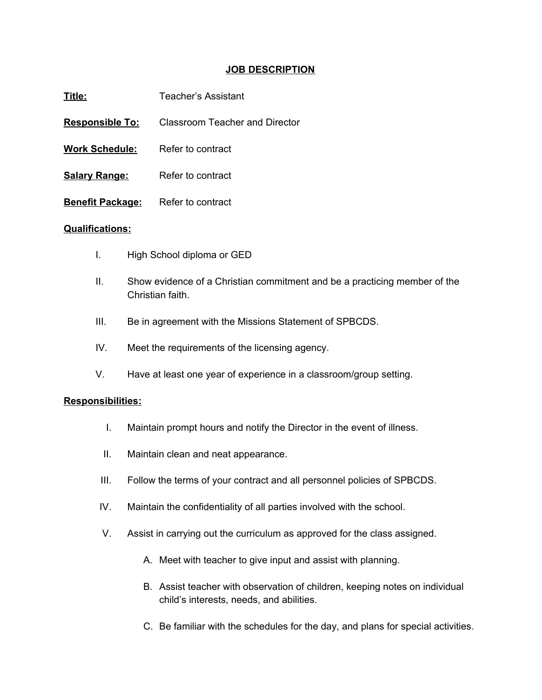## **JOB DESCRIPTION**

| Title:                  | Teacher's Assistant            |
|-------------------------|--------------------------------|
| <b>Responsible To:</b>  | Classroom Teacher and Director |
| <b>Work Schedule:</b>   | Refer to contract              |
| <b>Salary Range:</b>    | Refer to contract              |
| <b>Benefit Package:</b> | Refer to contract              |
|                         |                                |

## **Qualifications:**

- I. High School diploma or GED
- II. Show evidence of a Christian commitment and be a practicing member of the Christian faith.
- III. Be in agreement with the Missions Statement of SPBCDS.
- IV. Meet the requirements of the licensing agency.
- V. Have at least one year of experience in a classroom/group setting.

## **Responsibilities:**

- I. Maintain prompt hours and notify the Director in the event of illness.
- II. Maintain clean and neat appearance.
- III. Follow the terms of your contract and all personnel policies of SPBCDS.
- IV. Maintain the confidentiality of all parties involved with the school.
- V. Assist in carrying out the curriculum as approved for the class assigned.
	- A. Meet with teacher to give input and assist with planning.
	- B. Assist teacher with observation of children, keeping notes on individual child's interests, needs, and abilities.
	- C. Be familiar with the schedules for the day, and plans for special activities.